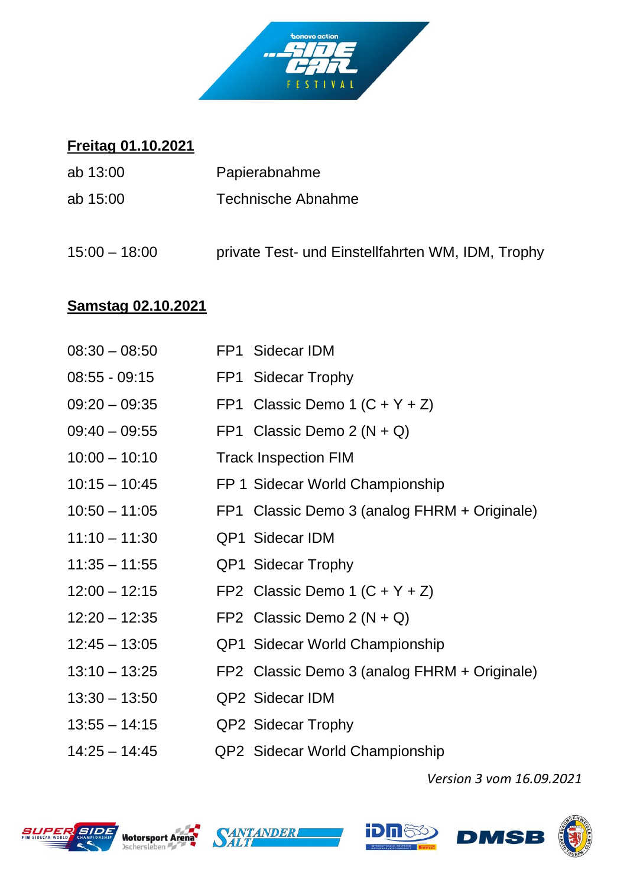

## **Freitag 01.10.2021**

| ab 13:00        | Papierabnahme                                     |
|-----------------|---------------------------------------------------|
| ab $15:00$      | <b>Technische Abnahme</b>                         |
| $15:00 - 18:00$ | private Test- und Einstellfahrten WM, IDM, Trophy |

## **Samstag 02.10.2021**

| $08:30 - 08:50$ | FP1 Sidecar IDM                              |
|-----------------|----------------------------------------------|
| $08:55 - 09:15$ | FP1 Sidecar Trophy                           |
| $09:20 - 09:35$ | FP1 Classic Demo 1 $(C + Y + Z)$             |
| $09:40 - 09:55$ | FP1 Classic Demo $2(N + Q)$                  |
| $10:00 - 10:10$ | <b>Track Inspection FIM</b>                  |
| $10:15 - 10:45$ | FP 1 Sidecar World Championship              |
| $10:50 - 11:05$ | FP1 Classic Demo 3 (analog FHRM + Originale) |
| $11:10 - 11:30$ | <b>QP1 Sidecar IDM</b>                       |
| $11:35 - 11:55$ | <b>QP1 Sidecar Trophy</b>                    |
| $12:00 - 12:15$ | FP2 Classic Demo 1 $(C + Y + Z)$             |
| $12:20 - 12:35$ | FP2 Classic Demo $2(N + Q)$                  |
| $12:45 - 13:05$ | <b>QP1 Sidecar World Championship</b>        |
| $13:10 - 13:25$ | FP2 Classic Demo 3 (analog FHRM + Originale) |
| $13:30 - 13:50$ | QP2 Sidecar IDM                              |
| $13:55 - 14:15$ | QP2 Sidecar Trophy                           |
| $14:25 - 14:45$ | QP2 Sidecar World Championship               |

*Version 3 vom 16.09.2021*